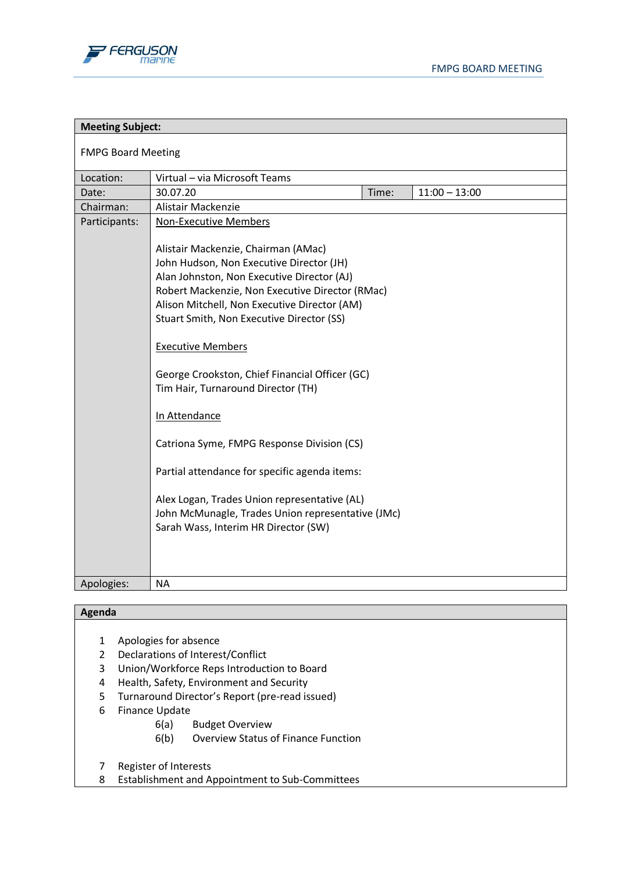

| <b>Meeting Subject:</b>   |                                                                                                                                                                                                                  |  |
|---------------------------|------------------------------------------------------------------------------------------------------------------------------------------------------------------------------------------------------------------|--|
| <b>FMPG Board Meeting</b> |                                                                                                                                                                                                                  |  |
| Location:                 | Virtual - via Microsoft Teams                                                                                                                                                                                    |  |
| Date:                     | Time:<br>$11:00 - 13:00$<br>30.07.20                                                                                                                                                                             |  |
| Chairman:                 | Alistair Mackenzie                                                                                                                                                                                               |  |
| Participants:             | <b>Non-Executive Members</b><br>Alistair Mackenzie, Chairman (AMac)<br>John Hudson, Non Executive Director (JH)<br>Alan Johnston, Non Executive Director (AJ)<br>Robert Mackenzie, Non Executive Director (RMac) |  |
|                           | Alison Mitchell, Non Executive Director (AM)                                                                                                                                                                     |  |
|                           | Stuart Smith, Non Executive Director (SS)                                                                                                                                                                        |  |
|                           | <b>Executive Members</b>                                                                                                                                                                                         |  |
|                           | George Crookston, Chief Financial Officer (GC)<br>Tim Hair, Turnaround Director (TH)                                                                                                                             |  |
|                           | In Attendance                                                                                                                                                                                                    |  |
|                           | Catriona Syme, FMPG Response Division (CS)                                                                                                                                                                       |  |
|                           | Partial attendance for specific agenda items:                                                                                                                                                                    |  |
|                           | Alex Logan, Trades Union representative (AL)<br>John McMunagle, Trades Union representative (JMc)<br>Sarah Wass, Interim HR Director (SW)                                                                        |  |
| Apologies:                | <b>NA</b>                                                                                                                                                                                                        |  |

## **Agenda**

- 1 Apologies for absence
- 2 Declarations of Interest/Conflict
- 3 Union/Workforce Reps Introduction to Board
- 4 Health, Safety, Environment and Security
- 5 Turnaround Director's Report (pre-read issued)
- 6 Finance Update
	- 6(a) Budget Overview
	- 6(b) Overview Status of Finance Function
- 7 Register of Interests
- 8 Establishment and Appointment to Sub-Committees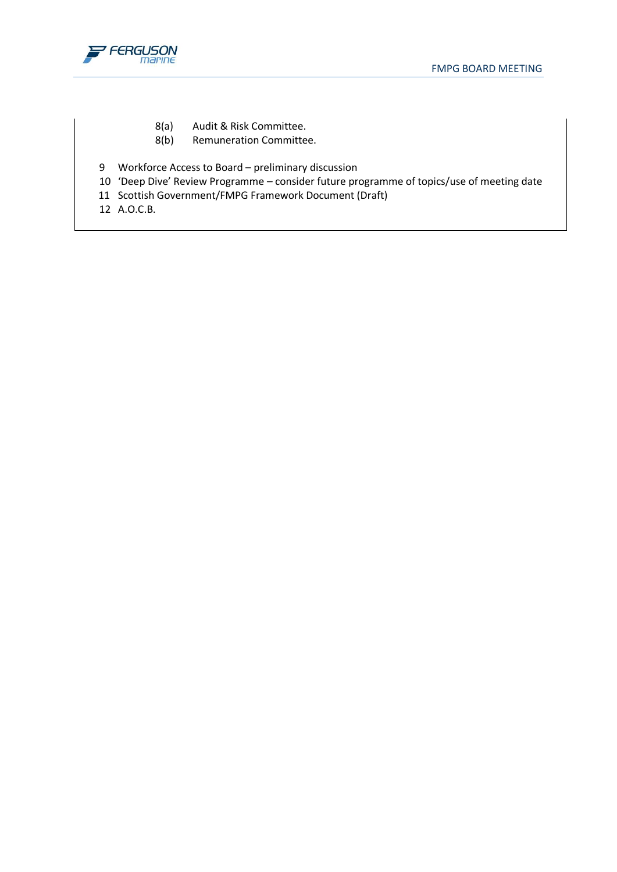

- 8(a) Audit & Risk Committee.
- 8(b) Remuneration Committee.
- 9 Workforce Access to Board preliminary discussion
- 10 'Deep Dive' Review Programme consider future programme of topics/use of meeting date
- 11 Scottish Government/FMPG Framework Document (Draft)
- 12 A.O.C.B.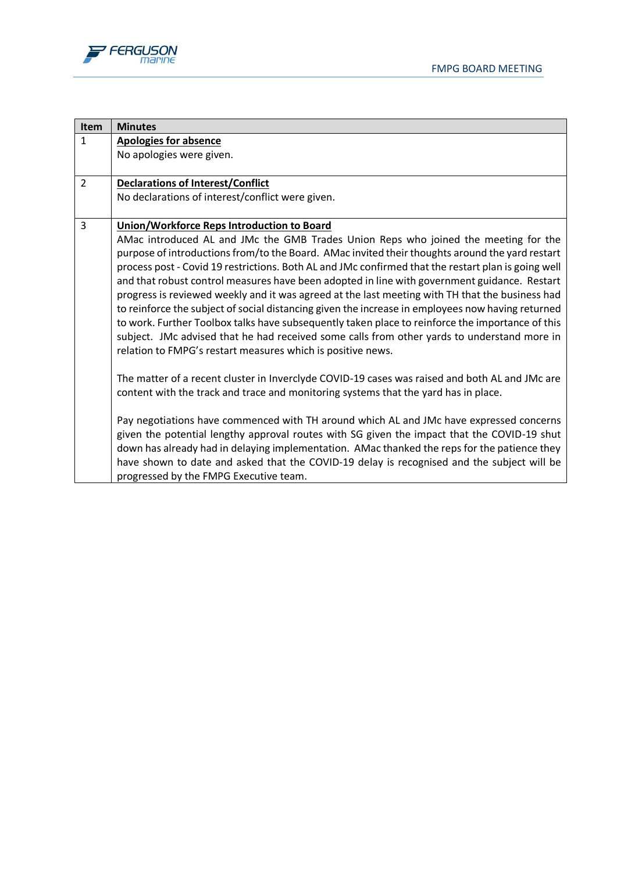



| <b>Item</b>    | <b>Minutes</b>                                                                                      |
|----------------|-----------------------------------------------------------------------------------------------------|
| $\mathbf{1}$   | <b>Apologies for absence</b>                                                                        |
|                | No apologies were given.                                                                            |
|                |                                                                                                     |
| $\overline{2}$ | <b>Declarations of Interest/Conflict</b>                                                            |
|                | No declarations of interest/conflict were given.                                                    |
|                |                                                                                                     |
| 3              | Union/Workforce Reps Introduction to Board                                                          |
|                | AMac introduced AL and JMc the GMB Trades Union Reps who joined the meeting for the                 |
|                | purpose of introductions from/to the Board. AMac invited their thoughts around the yard restart     |
|                | process post - Covid 19 restrictions. Both AL and JMc confirmed that the restart plan is going well |
|                | and that robust control measures have been adopted in line with government guidance. Restart        |
|                | progress is reviewed weekly and it was agreed at the last meeting with TH that the business had     |
|                | to reinforce the subject of social distancing given the increase in employees now having returned   |
|                | to work. Further Toolbox talks have subsequently taken place to reinforce the importance of this    |
|                | subject. JMc advised that he had received some calls from other yards to understand more in         |
|                | relation to FMPG's restart measures which is positive news.                                         |
|                | The matter of a recent cluster in Inverclyde COVID-19 cases was raised and both AL and JMc are      |
|                | content with the track and trace and monitoring systems that the yard has in place.                 |
|                |                                                                                                     |
|                | Pay negotiations have commenced with TH around which AL and JMc have expressed concerns             |
|                | given the potential lengthy approval routes with SG given the impact that the COVID-19 shut         |
|                | down has already had in delaying implementation. AMac thanked the reps for the patience they        |
|                | have shown to date and asked that the COVID-19 delay is recognised and the subject will be          |
|                | progressed by the FMPG Executive team.                                                              |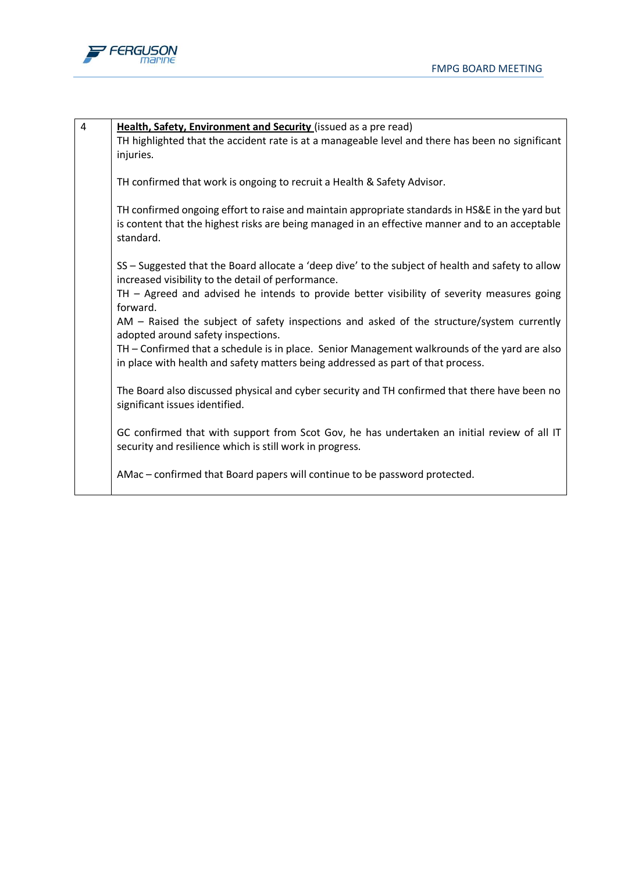

| $\overline{4}$ | Health, Safety, Environment and Security (issued as a pre read)<br>TH highlighted that the accident rate is at a manageable level and there has been no significant<br>injuries.                                |
|----------------|-----------------------------------------------------------------------------------------------------------------------------------------------------------------------------------------------------------------|
|                | TH confirmed that work is ongoing to recruit a Health & Safety Advisor.                                                                                                                                         |
|                | TH confirmed ongoing effort to raise and maintain appropriate standards in HS&E in the yard but<br>is content that the highest risks are being managed in an effective manner and to an acceptable<br>standard. |
|                | SS - Suggested that the Board allocate a 'deep dive' to the subject of health and safety to allow<br>increased visibility to the detail of performance.                                                         |
|                | TH - Agreed and advised he intends to provide better visibility of severity measures going<br>forward.                                                                                                          |
|                | AM - Raised the subject of safety inspections and asked of the structure/system currently<br>adopted around safety inspections.                                                                                 |
|                | TH - Confirmed that a schedule is in place. Senior Management walkrounds of the yard are also<br>in place with health and safety matters being addressed as part of that process.                               |
|                | The Board also discussed physical and cyber security and TH confirmed that there have been no<br>significant issues identified.                                                                                 |
|                | GC confirmed that with support from Scot Gov, he has undertaken an initial review of all IT<br>security and resilience which is still work in progress.                                                         |
|                | AMac - confirmed that Board papers will continue to be password protected.                                                                                                                                      |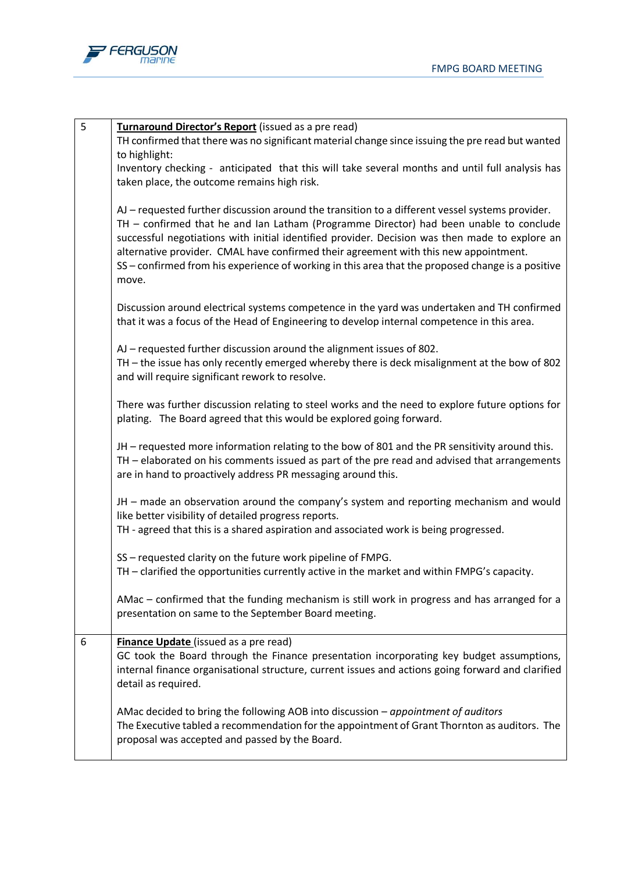

| 5 | Turnaround Director's Report (issued as a pre read)<br>TH confirmed that there was no significant material change since issuing the pre read but wanted                                                                                                                                                                                                                                                                                                                                           |
|---|---------------------------------------------------------------------------------------------------------------------------------------------------------------------------------------------------------------------------------------------------------------------------------------------------------------------------------------------------------------------------------------------------------------------------------------------------------------------------------------------------|
|   | to highlight:                                                                                                                                                                                                                                                                                                                                                                                                                                                                                     |
|   | Inventory checking - anticipated that this will take several months and until full analysis has                                                                                                                                                                                                                                                                                                                                                                                                   |
|   | taken place, the outcome remains high risk.                                                                                                                                                                                                                                                                                                                                                                                                                                                       |
|   | AJ - requested further discussion around the transition to a different vessel systems provider.<br>TH - confirmed that he and Ian Latham (Programme Director) had been unable to conclude<br>successful negotiations with initial identified provider. Decision was then made to explore an<br>alternative provider. CMAL have confirmed their agreement with this new appointment.<br>SS - confirmed from his experience of working in this area that the proposed change is a positive<br>move. |
|   | Discussion around electrical systems competence in the yard was undertaken and TH confirmed<br>that it was a focus of the Head of Engineering to develop internal competence in this area.                                                                                                                                                                                                                                                                                                        |
|   | AJ – requested further discussion around the alignment issues of 802.                                                                                                                                                                                                                                                                                                                                                                                                                             |
|   | TH - the issue has only recently emerged whereby there is deck misalignment at the bow of 802<br>and will require significant rework to resolve.                                                                                                                                                                                                                                                                                                                                                  |
|   | There was further discussion relating to steel works and the need to explore future options for<br>plating. The Board agreed that this would be explored going forward.                                                                                                                                                                                                                                                                                                                           |
|   | JH - requested more information relating to the bow of 801 and the PR sensitivity around this.<br>TH - elaborated on his comments issued as part of the pre read and advised that arrangements<br>are in hand to proactively address PR messaging around this.                                                                                                                                                                                                                                    |
|   | JH - made an observation around the company's system and reporting mechanism and would<br>like better visibility of detailed progress reports.<br>TH - agreed that this is a shared aspiration and associated work is being progressed.                                                                                                                                                                                                                                                           |
|   |                                                                                                                                                                                                                                                                                                                                                                                                                                                                                                   |
|   | SS - requested clarity on the future work pipeline of FMPG.<br>TH - clarified the opportunities currently active in the market and within FMPG's capacity.                                                                                                                                                                                                                                                                                                                                        |
|   | AMac – confirmed that the funding mechanism is still work in progress and has arranged for a<br>presentation on same to the September Board meeting.                                                                                                                                                                                                                                                                                                                                              |
| 6 | Finance Update (issued as a pre read)<br>GC took the Board through the Finance presentation incorporating key budget assumptions,<br>internal finance organisational structure, current issues and actions going forward and clarified<br>detail as required.                                                                                                                                                                                                                                     |
|   | AMac decided to bring the following AOB into discussion - appointment of auditors<br>The Executive tabled a recommendation for the appointment of Grant Thornton as auditors. The<br>proposal was accepted and passed by the Board.                                                                                                                                                                                                                                                               |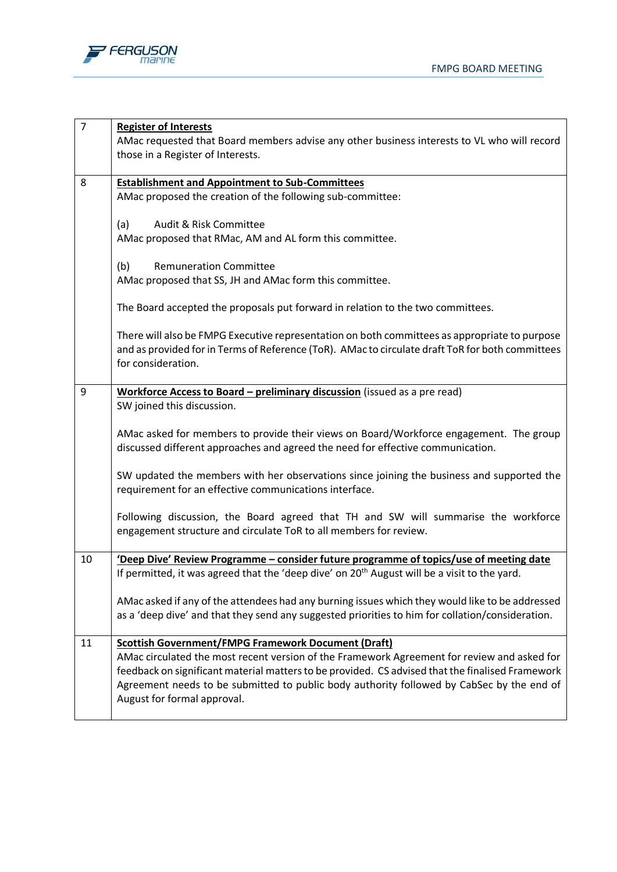

| $\overline{7}$ | <b>Register of Interests</b>                                                                                                                                                                       |
|----------------|----------------------------------------------------------------------------------------------------------------------------------------------------------------------------------------------------|
|                | AMac requested that Board members advise any other business interests to VL who will record                                                                                                        |
|                | those in a Register of Interests.                                                                                                                                                                  |
|                |                                                                                                                                                                                                    |
| 8              | <b>Establishment and Appointment to Sub-Committees</b>                                                                                                                                             |
|                | AMac proposed the creation of the following sub-committee:                                                                                                                                         |
|                |                                                                                                                                                                                                    |
|                | Audit & Risk Committee<br>(a)                                                                                                                                                                      |
|                | AMac proposed that RMac, AM and AL form this committee.                                                                                                                                            |
|                | <b>Remuneration Committee</b><br>(b)                                                                                                                                                               |
|                | AMac proposed that SS, JH and AMac form this committee.                                                                                                                                            |
|                |                                                                                                                                                                                                    |
|                | The Board accepted the proposals put forward in relation to the two committees.                                                                                                                    |
|                |                                                                                                                                                                                                    |
|                | There will also be FMPG Executive representation on both committees as appropriate to purpose                                                                                                      |
|                | and as provided for in Terms of Reference (ToR). AMac to circulate draft ToR for both committees                                                                                                   |
|                | for consideration.                                                                                                                                                                                 |
|                |                                                                                                                                                                                                    |
| 9              | Workforce Access to Board - preliminary discussion (issued as a pre read)                                                                                                                          |
|                | SW joined this discussion.                                                                                                                                                                         |
|                | AMac asked for members to provide their views on Board/Workforce engagement. The group                                                                                                             |
|                | discussed different approaches and agreed the need for effective communication.                                                                                                                    |
|                |                                                                                                                                                                                                    |
|                | SW updated the members with her observations since joining the business and supported the                                                                                                          |
|                | requirement for an effective communications interface.                                                                                                                                             |
|                |                                                                                                                                                                                                    |
|                | Following discussion, the Board agreed that TH and SW will summarise the workforce                                                                                                                 |
|                | engagement structure and circulate ToR to all members for review.                                                                                                                                  |
| 10             |                                                                                                                                                                                                    |
|                | 'Deep Dive' Review Programme - consider future programme of topics/use of meeting date<br>If permitted, it was agreed that the 'deep dive' on 20 <sup>th</sup> August will be a visit to the yard. |
|                |                                                                                                                                                                                                    |
|                | AMac asked if any of the attendees had any burning issues which they would like to be addressed                                                                                                    |
|                | as a 'deep dive' and that they send any suggested priorities to him for collation/consideration.                                                                                                   |
|                |                                                                                                                                                                                                    |
| 11             | <b>Scottish Government/FMPG Framework Document (Draft)</b>                                                                                                                                         |
|                | AMac circulated the most recent version of the Framework Agreement for review and asked for                                                                                                        |
|                | feedback on significant material matters to be provided. CS advised that the finalised Framework                                                                                                   |
|                | Agreement needs to be submitted to public body authority followed by CabSec by the end of                                                                                                          |
|                | August for formal approval.                                                                                                                                                                        |
|                |                                                                                                                                                                                                    |